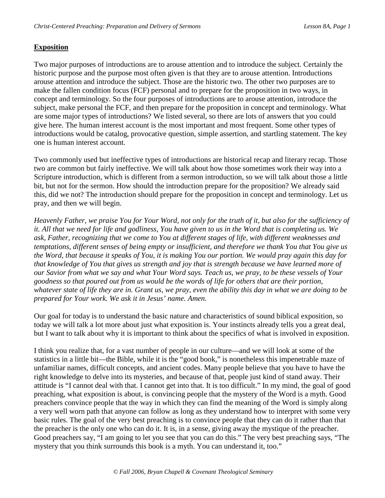# **Exposition**

Two major purposes of introductions are to arouse attention and to introduce the subject. Certainly the historic purpose and the purpose most often given is that they are to arouse attention. Introductions arouse attention and introduce the subject. Those are the historic two. The other two purposes are to make the fallen condition focus (FCF) personal and to prepare for the proposition in two ways, in concept and terminology. So the four purposes of introductions are to arouse attention, introduce the subject, make personal the FCF, and then prepare for the proposition in concept and terminology. What are some major types of introductions? We listed several, so there are lots of answers that you could give here. The human interest account is the most important and most frequent. Some other types of introductions would be catalog, provocative question, simple assertion, and startling statement. The key one is human interest account.

Two commonly used but ineffective types of introductions are historical recap and literary recap. Those two are common but fairly ineffective. We will talk about how those sometimes work their way into a Scripture introduction, which is different from a sermon introduction, so we will talk about those a little bit, but not for the sermon. How should the introduction prepare for the proposition? We already said this, did we not? The introduction should prepare for the proposition in concept and terminology. Let us pray, and then we will begin.

*Heavenly Father, we praise You for Your Word, not only for the truth of it, but also for the sufficiency of it. All that we need for life and godliness, You have given to us in the Word that is completing us. We ask, Father, recognizing that we come to You at different stages of life, with different weaknesses and temptations, different senses of being empty or insufficient, and therefore we thank You that You give us the Word, that because it speaks of You, it is making You our portion. We would pray again this day for that knowledge of You that gives us strength and joy that is strength because we have learned more of our Savior from what we say and what Your Word says. Teach us, we pray, to be these vessels of Your goodness so that poured out from us would be the words of life for others that are their portion, whatever state of life they are in. Grant us, we pray, even the ability this day in what we are doing to be prepared for Your work. We ask it in Jesus' name. Amen.* 

Our goal for today is to understand the basic nature and characteristics of sound biblical exposition, so today we will talk a lot more about just what exposition is. Your instincts already tells you a great deal, but I want to talk about why it is important to think about the specifics of what is involved in exposition.

I think you realize that, for a vast number of people in our culture—and we will look at some of the statistics in a little bit—the Bible, while it is the "good book," is nonetheless this impenetrable maze of unfamiliar names, difficult concepts, and ancient codes. Many people believe that you have to have the right knowledge to delve into its mysteries, and because of that, people just kind of stand away. Their attitude is "I cannot deal with that. I cannot get into that. It is too difficult." In my mind, the goal of good preaching, what exposition is about, is convincing people that the mystery of the Word is a myth. Good preachers convince people that the way in which they can find the meaning of the Word is simply along a very well worn path that anyone can follow as long as they understand how to interpret with some very basic rules. The goal of the very best preaching is to convince people that they can do it rather than that the preacher is the only one who can do it. It is, in a sense, giving away the mystique of the preacher. Good preachers say, "I am going to let you see that you can do this." The very best preaching says, "The mystery that you think surrounds this book is a myth. You can understand it, too."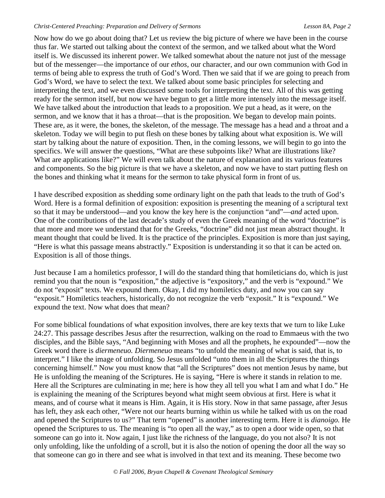Now how do we go about doing that? Let us review the big picture of where we have been in the course thus far. We started out talking about the context of the sermon, and we talked about what the Word itself is. We discussed its inherent power. We talked somewhat about the nature not just of the message but of the messenger—the importance of our *ethos*, our character, and our own communion with God in terms of being able to express the truth of God's Word. Then we said that if we are going to preach from God's Word, we have to select the text. We talked about some basic principles for selecting and interpreting the text, and we even discussed some tools for interpreting the text. All of this was getting ready for the sermon itself, but now we have begun to get a little more intensely into the message itself. We have talked about the introduction that leads to a proposition. We put a head, as it were, on the sermon, and we know that it has a throat—that is the proposition. We began to develop main points. These are, as it were, the bones, the skeleton, of the message. The message has a head and a throat and a skeleton. Today we will begin to put flesh on these bones by talking about what exposition is. We will start by talking about the nature of exposition. Then, in the coming lessons, we will begin to go into the specifics. We will answer the questions, "What are these subpoints like? What are illustrations like? What are applications like?" We will even talk about the nature of explanation and its various features and components. So the big picture is that we have a skeleton, and now we have to start putting flesh on the bones and thinking what it means for the sermon to take physical form in front of us.

I have described exposition as shedding some ordinary light on the path that leads to the truth of God's Word. Here is a formal definition of exposition: exposition is presenting the meaning of a scriptural text so that it may be understood—and you know the key here is the conjunction "and"—*and* acted upon. One of the contributions of the last decade's study of even the Greek meaning of the word "doctrine" is that more and more we understand that for the Greeks, "doctrine" did not just mean abstract thought. It meant thought that could be lived. It is the practice of the principles. Exposition is more than just saying, "Here is what this passage means abstractly." Exposition is understanding it so that it can be acted on. Exposition is all of those things.

Just because I am a homiletics professor, I will do the standard thing that homileticians do, which is just remind you that the noun is "exposition," the adjective is "expository," and the verb is "expound." We do not "exposit" texts. We expound them. Okay, I did my homiletics duty, and now you can say "exposit." Homiletics teachers, historically, do not recognize the verb "exposit." It is "expound." We expound the text. Now what does that mean?

For some biblical foundations of what exposition involves, there are key texts that we turn to like Luke 24:27. This passage describes Jesus after the resurrection, walking on the road to Emmaeus with the two disciples, and the Bible says, "And beginning with Moses and all the prophets, he expounded"—now the Greek word there is *diermeneuo. Diermeneuo* means "to unfold the meaning of what is said, that is, to interpret." I like the image of unfolding. So Jesus unfolded "unto them in all the Scriptures the things concerning himself." Now you must know that "all the Scriptures" does not mention Jesus by name, but He is unfolding the meaning of the Scriptures. He is saying, "Here is where it stands in relation to me. Here all the Scriptures are culminating in me; here is how they all tell you what I am and what I do." He is explaining the meaning of the Scriptures beyond what might seem obvious at first. Here is what it means, and of course what it means is Him. Again, it is His story. Now in that same passage, after Jesus has left, they ask each other, "Were not our hearts burning within us while he talked with us on the road and opened the Scriptures to us?" That term "opened" is another interesting term. Here it is *dianoigo.* He opened the Scriptures to us. The meaning is "to open all the way," as to open a door wide open, so that someone can go into it. Now again, I just like the richness of the language, do you not also? It is not only unfolding, like the unfolding of a scroll, but it is also the notion of opening the door all the way so that someone can go in there and see what is involved in that text and its meaning. These become two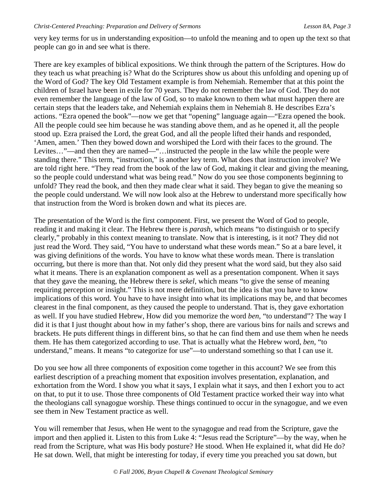very key terms for us in understanding exposition—to unfold the meaning and to open up the text so that people can go in and see what is there.

There are key examples of biblical expositions. We think through the pattern of the Scriptures. How do they teach us what preaching is? What do the Scriptures show us about this unfolding and opening up of the Word of God? The key Old Testament example is from Nehemiah. Remember that at this point the children of Israel have been in exile for 70 years. They do not remember the law of God. They do not even remember the language of the law of God, so to make known to them what must happen there are certain steps that the leaders take, and Nehemiah explains them in Nehemiah 8. He describes Ezra's actions. "Ezra opened the book"—now we get that "opening" language again—"Ezra opened the book. All the people could see him because he was standing above them, and as he opened it, all the people stood up. Ezra praised the Lord, the great God, and all the people lifted their hands and responded, 'Amen, amen.' Then they bowed down and worshiped the Lord with their faces to the ground. The Levites…"—and then they are named—"…instructed the people in the law while the people were standing there." This term, "instruction," is another key term. What does that instruction involve? We are told right here. "They read from the book of the law of God, making it clear and giving the meaning, so the people could understand what was being read." Now do you see those components beginning to unfold? They read the book, and then they made clear what it said. They began to give the meaning so the people could understand. We will now look also at the Hebrew to understand more specifically how that instruction from the Word is broken down and what its pieces are.

The presentation of the Word is the first component. First, we present the Word of God to people, reading it and making it clear. The Hebrew there is *parash*, which means "to distinguish or to specify clearly," probably in this context meaning to translate. Now that is interesting, is it not? They did not just read the Word. They said, "You have to understand what these words mean." So at a bare level, it was giving definitions of the words. You have to know what these words mean. There is translation occurring, but there is more than that. Not only did they present what the word said, but they also said what it means. There is an explanation component as well as a presentation component. When it says that they gave the meaning, the Hebrew there is *sekel*, which means "to give the sense of meaning requiring perception or insight." This is not mere definition, but the idea is that you have to know implications of this word. You have to have insight into what its implications may be, and that becomes clearest in the final component, as they caused the people to understand. That is, they gave exhortation as well. If you have studied Hebrew, How did you memorize the word *ben*, "to understand"? The way I did it is that I just thought about how in my father's shop, there are various bins for nails and screws and brackets. He puts different things in different bins, so that he can find them and use them when he needs them. He has them categorized according to use. That is actually what the Hebrew word, *ben*, "to understand," means. It means "to categorize for use"—to understand something so that I can use it.

Do you see how all three components of exposition come together in this account? We see from this earliest description of a preaching moment that exposition involves presentation, explanation, and exhortation from the Word. I show you what it says, I explain what it says, and then I exhort you to act on that, to put it to use. Those three components of Old Testament practice worked their way into what the theologians call synagogue worship. These things continued to occur in the synagogue, and we even see them in New Testament practice as well.

You will remember that Jesus, when He went to the synagogue and read from the Scripture, gave the import and then applied it. Listen to this from Luke 4: "Jesus read the Scripture"—by the way, when he read from the Scripture, what was His body posture? He stood. When He explained it, what did He do? He sat down. Well, that might be interesting for today, if every time you preached you sat down, but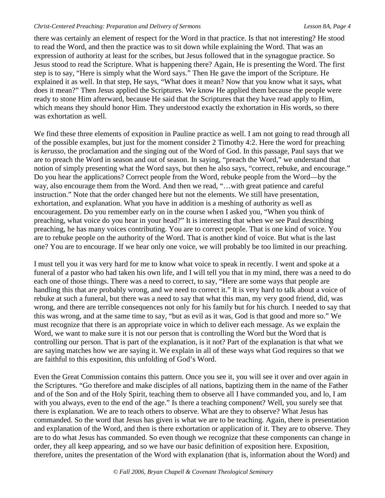there was certainly an element of respect for the Word in that practice. Is that not interesting? He stood to read the Word, and then the practice was to sit down while explaining the Word. That was an expression of authority at least for the scribes, but Jesus followed that in the synagogue practice. So Jesus stood to read the Scripture. What is happening there? Again, He is presenting the Word. The first step is to say, "Here is simply what the Word says." Then He gave the import of the Scripture. He explained it as well. In that step, He says, "What does it mean? Now that you know what it says, what does it mean?" Then Jesus applied the Scriptures. We know He applied them because the people were ready to stone Him afterward, because He said that the Scriptures that they have read apply to Him, which means they should honor Him. They understood exactly the exhortation in His words, so there was exhortation as well.

We find these three elements of exposition in Pauline practice as well. I am not going to read through all of the possible examples, but just for the moment consider 2 Timothy 4:2. Here the word for preaching is *kerusso*, the proclamation and the singing out of the Word of God. In this passage, Paul says that we are to preach the Word in season and out of season. In saying, "preach the Word," we understand that notion of simply presenting what the Word says, but then he also says, "correct, rebuke, and encourage." Do you hear the applications? Correct people from the Word, rebuke people from the Word—by the way, also encourage them from the Word. And then we read, "…with great patience and careful instruction." Note that the order changed here but not the elements. We still have presentation, exhortation, and explanation. What you have in addition is a meshing of authority as well as encouragement. Do you remember early on in the course when I asked you, "When you think of preaching, what voice do you hear in your head?" It is interesting that when we see Paul describing preaching, he has many voices contributing. You are to correct people. That is one kind of voice. You are to rebuke people on the authority of the Word. That is another kind of voice. But what is the last one? You are to encourage. If we hear only one voice, we will probably be too limited in our preaching.

I must tell you it was very hard for me to know what voice to speak in recently. I went and spoke at a funeral of a pastor who had taken his own life, and I will tell you that in my mind, there was a need to do each one of those things. There was a need to correct, to say, "Here are some ways that people are handling this that are probably wrong, and we need to correct it." It is very hard to talk about a voice of rebuke at such a funeral, but there was a need to say that what this man, my very good friend, did, was wrong, and there are terrible consequences not only for his family but for his church. I needed to say that this was wrong, and at the same time to say, "but as evil as it was, God is that good and more so." We must recognize that there is an appropriate voice in which to deliver each message. As we explain the Word, we want to make sure it is not our person that is controlling the Word but the Word that is controlling our person. That is part of the explanation, is it not? Part of the explanation is that what we are saying matches how we are saying it. We explain in all of these ways what God requires so that we are faithful to this exposition, this unfolding of God's Word.

Even the Great Commission contains this pattern. Once you see it, you will see it over and over again in the Scriptures. "Go therefore and make disciples of all nations, baptizing them in the name of the Father and of the Son and of the Holy Spirit, teaching them to observe all I have commanded you, and lo, I am with you always, even to the end of the age." Is there a teaching component? Well, you surely see that there is explanation. We are to teach others to observe. What are they to observe? What Jesus has commanded. So the word that Jesus has given is what we are to be teaching. Again, there is presentation and explanation of the Word, and then is there exhortation or application of it. They are to observe. They are to do what Jesus has commanded. So even though we recognize that these components can change in order, they all keep appearing, and so we have our basic definition of exposition here. Exposition, therefore, unites the presentation of the Word with explanation (that is, information about the Word) and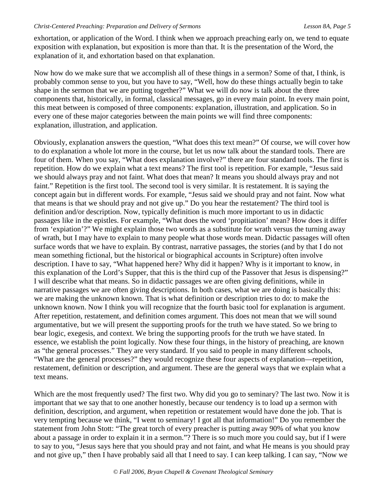exhortation, or application of the Word. I think when we approach preaching early on, we tend to equate exposition with explanation, but exposition is more than that. It is the presentation of the Word, the explanation of it, and exhortation based on that explanation.

Now how do we make sure that we accomplish all of these things in a sermon? Some of that, I think, is probably common sense to you, but you have to say, "Well, how do these things actually begin to take shape in the sermon that we are putting together?" What we will do now is talk about the three components that, historically, in formal, classical messages, go in every main point. In every main point, this meat between is composed of three components: explanation, illustration, and application. So in every one of these major categories between the main points we will find three components: explanation, illustration, and application.

Obviously, explanation answers the question, "What does this text mean?" Of course, we will cover how to do explanation a whole lot more in the course, but let us now talk about the standard tools. There are four of them. When you say, "What does explanation involve?" there are four standard tools. The first is repetition. How do we explain what a text means? The first tool is repetition. For example, "Jesus said we should always pray and not faint. What does that mean? It means you should always pray and not faint." Repetition is the first tool. The second tool is very similar. It is restatement. It is saying the concept again but in different words. For example, "Jesus said we should pray and not faint. Now what that means is that we should pray and not give up." Do you hear the restatement? The third tool is definition and/or description. Now, typically definition is much more important to us in didactic passages like in the epistles. For example, "What does the word 'propitiation' mean? How does it differ from 'expiation'?" We might explain those two words as a substitute for wrath versus the turning away of wrath, but I may have to explain to many people what those words mean. Didactic passages will often surface words that we have to explain. By contrast, narrative passages, the stories (and by that I do not mean something fictional, but the historical or biographical accounts in Scripture) often involve description. I have to say, "What happened here? Why did it happen? Why is it important to know, in this explanation of the Lord's Supper, that this is the third cup of the Passover that Jesus is dispensing?" I will describe what that means. So in didactic passages we are often giving definitions, while in narrative passages we are often giving descriptions. In both cases, what we are doing is basically this: we are making the unknown known. That is what definition or description tries to do: to make the unknown known. Now I think you will recognize that the fourth basic tool for explanation is argument. After repetition, restatement, and definition comes argument. This does not mean that we will sound argumentative, but we will present the supporting proofs for the truth we have stated. So we bring to bear logic, exegesis, and context. We bring the supporting proofs for the truth we have stated. In essence, we establish the point logically. Now these four things, in the history of preaching, are known as "the general processes." They are very standard. If you said to people in many different schools, "What are the general processes?" they would recognize these four aspects of explanation—repetition, restatement, definition or description, and argument. These are the general ways that we explain what a text means.

Which are the most frequently used? The first two. Why did you go to seminary? The last two. Now it is important that we say that to one another honestly, because our tendency is to load up a sermon with definition, description, and argument, when repetition or restatement would have done the job. That is very tempting because we think, "I went to seminary! I got all that information!" Do you remember the statement from John Stott: "The great torch of every preacher is putting away 90% of what you know about a passage in order to explain it in a sermon."? There is so much more you could say, but if I were to say to you, "Jesus says here that you should pray and not faint, and what He means is you should pray and not give up," then I have probably said all that I need to say. I can keep talking. I can say, "Now we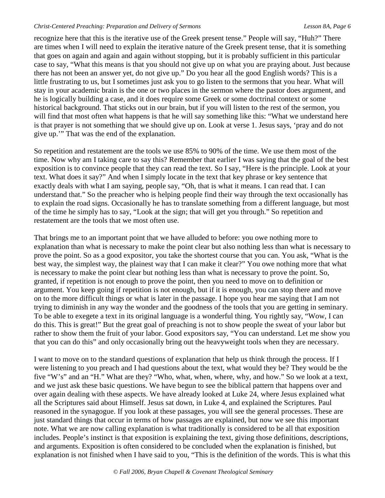recognize here that this is the iterative use of the Greek present tense." People will say, "Huh?" There are times when I will need to explain the iterative nature of the Greek present tense, that it is something that goes on again and again and again without stopping, but it is probably sufficient in this particular case to say, "What this means is that you should not give up on what you are praying about. Just because there has not been an answer yet, do not give up." Do you hear all the good English words? This is a little frustrating to us, but I sometimes just ask you to go listen to the sermons that you hear. What will stay in your academic brain is the one or two places in the sermon where the pastor does argument, and he is logically building a case, and it does require some Greek or some doctrinal context or some historical background. That sticks out in our brain, but if you will listen to the rest of the sermon, you will find that most often what happens is that he will say something like this: "What we understand here is that prayer is not something that we should give up on. Look at verse 1. Jesus says, 'pray and do not give up.'" That was the end of the explanation.

So repetition and restatement are the tools we use 85% to 90% of the time. We use them most of the time. Now why am I taking care to say this? Remember that earlier I was saying that the goal of the best exposition is to convince people that they can read the text. So I say, "Here is the principle. Look at your text. What does it say?" And when I simply locate in the text that key phrase or key sentence that exactly deals with what I am saying, people say, "Oh, that is what it means. I can read that. I can understand that." So the preacher who is helping people find their way through the text occasionally has to explain the road signs. Occasionally he has to translate something from a different language, but most of the time he simply has to say, "Look at the sign; that will get you through." So repetition and restatement are the tools that we most often use.

That brings me to an important point that we have alluded to before: you owe nothing more to explanation than what is necessary to make the point clear but also nothing less than what is necessary to prove the point. So as a good expositor, you take the shortest course that you can. You ask, "What is the best way, the simplest way, the plainest way that I can make it clear?" You owe nothing more that what is necessary to make the point clear but nothing less than what is necessary to prove the point. So, granted, if repetition is not enough to prove the point, then you need to move on to definition or argument. You keep going if repetition is not enough, but if it is enough, you can stop there and move on to the more difficult things or what is later in the passage. I hope you hear me saying that I am not trying to diminish in any way the wonder and the goodness of the tools that you are getting in seminary. To be able to exegete a text in its original language is a wonderful thing. You rightly say, "Wow, I can do this. This is great!" But the great goal of preaching is not to show people the sweat of your labor but rather to show them the fruit of your labor. Good expositors say, "You can understand. Let me show you that you can do this" and only occasionally bring out the heavyweight tools when they are necessary.

I want to move on to the standard questions of explanation that help us think through the process. If I were listening to you preach and I had questions about the text, what would they be? They would be the five "W's" and an "H." What are they? "Who, what, when, where, why, and how." So we look at a text, and we just ask these basic questions. We have begun to see the biblical pattern that happens over and over again dealing with these aspects. We have already looked at Luke 24, where Jesus explained what all the Scriptures said about Himself. Jesus sat down, in Luke 4, and explained the Scriptures. Paul reasoned in the synagogue. If you look at these passages, you will see the general processes. These are just standard things that occur in terms of how passages are explained, but now we see this important note. What we are now calling explanation is what traditionally is considered to be all that exposition includes. People's instinct is that exposition is explaining the text, giving those definitions, descriptions, and arguments. Exposition is often considered to be concluded when the explanation is finished, but explanation is not finished when I have said to you, "This is the definition of the words. This is what this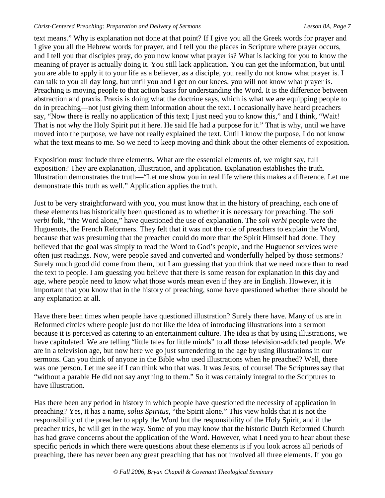text means." Why is explanation not done at that point? If I give you all the Greek words for prayer and I give you all the Hebrew words for prayer, and I tell you the places in Scripture where prayer occurs, and I tell you that disciples pray, do you now know what prayer is? What is lacking for you to know the meaning of prayer is actually doing it. You still lack application. You can get the information, but until you are able to apply it to your life as a believer, as a disciple, you really do not know what prayer is. I can talk to you all day long, but until you and I get on our knees, you will not know what prayer is. Preaching is moving people to that action basis for understanding the Word. It is the difference between abstraction and praxis. Praxis is doing what the doctrine says, which is what we are equipping people to do in preaching—not just giving them information about the text. I occasionally have heard preachers say, "Now there is really no application of this text; I just need you to know this," and I think, "Wait! That is not why the Holy Spirit put it here. He said He had a purpose for it." That is why, until we have moved into the purpose, we have not really explained the text. Until I know the purpose, I do not know what the text means to me. So we need to keep moving and think about the other elements of exposition.

Exposition must include three elements. What are the essential elements of, we might say, full exposition? They are explanation, illustration, and application. Explanation establishes the truth. Illustration demonstrates the truth—"Let me show you in real life where this makes a difference. Let me demonstrate this truth as well." Application applies the truth.

Just to be very straightforward with you, you must know that in the history of preaching, each one of these elements has historically been questioned as to whether it is necessary for preaching. The *soli verbi* folk, "the Word alone," have questioned the use of explanation. The *soli verbi* people were the Huguenots, the French Reformers. They felt that it was not the role of preachers to explain the Word, because that was presuming that the preacher could do more than the Spirit Himself had done. They believed that the goal was simply to read the Word to God's people, and the Huguenot services were often just readings. Now, were people saved and converted and wonderfully helped by those sermons? Surely much good did come from them, but I am guessing that you think that we need more than to read the text to people. I am guessing you believe that there is some reason for explanation in this day and age, where people need to know what those words mean even if they are in English. However, it is important that you know that in the history of preaching, some have questioned whether there should be any explanation at all.

Have there been times when people have questioned illustration? Surely there have. Many of us are in Reformed circles where people just do not like the idea of introducing illustrations into a sermon because it is perceived as catering to an entertainment culture. The idea is that by using illustrations, we have capitulated. We are telling "little tales for little minds" to all those television-addicted people. We are in a television age, but now here we go just surrendering to the age by using illustrations in our sermons. Can you think of anyone in the Bible who used illustrations when he preached? Well, there was one person. Let me see if I can think who that was. It was Jesus, of course! The Scriptures say that "without a parable He did not say anything to them." So it was certainly integral to the Scriptures to have illustration.

Has there been any period in history in which people have questioned the necessity of application in preaching? Yes, it has a name, *solus Spiritus,* "the Spirit alone." This view holds that it is not the responsibility of the preacher to apply the Word but the responsibility of the Holy Spirit, and if the preacher tries, he will get in the way. Some of you may know that the historic Dutch Reformed Church has had grave concerns about the application of the Word. However, what I need you to hear about these specific periods in which there were questions about these elements is if you look across all periods of preaching, there has never been any great preaching that has not involved all three elements. If you go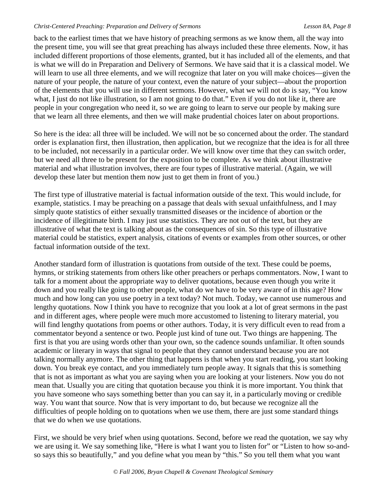back to the earliest times that we have history of preaching sermons as we know them, all the way into the present time, you will see that great preaching has always included these three elements. Now, it has included different proportions of those elements, granted, but it has included all of the elements, and that is what we will do in Preparation and Delivery of Sermons. We have said that it is a classical model. We will learn to use all three elements, and we will recognize that later on you will make choices—given the nature of your people, the nature of your context, even the nature of your subject—about the proportion of the elements that you will use in different sermons. However, what we will not do is say, "You know what, I just do not like illustration, so I am not going to do that." Even if you do not like it, there are people in your congregation who need it, so we are going to learn to serve our people by making sure that we learn all three elements, and then we will make prudential choices later on about proportions.

So here is the idea: all three will be included. We will not be so concerned about the order. The standard order is explanation first, then illustration, then application, but we recognize that the idea is for all three to be included, not necessarily in a particular order. We will know over time that they can switch order, but we need all three to be present for the exposition to be complete. As we think about illustrative material and what illustration involves, there are four types of illustrative material. (Again, we will develop these later but mention them now just to get them in front of you.)

The first type of illustrative material is factual information outside of the text. This would include, for example, statistics. I may be preaching on a passage that deals with sexual unfaithfulness, and I may simply quote statistics of either sexually transmitted diseases or the incidence of abortion or the incidence of illegitimate birth. I may just use statistics. They are not out of the text, but they are illustrative of what the text is talking about as the consequences of sin. So this type of illustrative material could be statistics, expert analysis, citations of events or examples from other sources, or other factual information outside of the text.

Another standard form of illustration is quotations from outside of the text. These could be poems, hymns, or striking statements from others like other preachers or perhaps commentators. Now, I want to talk for a moment about the appropriate way to deliver quotations, because even though you write it down and you really like going to other people, what do we have to be very aware of in this age? How much and how long can you use poetry in a text today? Not much. Today, we cannot use numerous and lengthy quotations. Now I think you have to recognize that you look at a lot of great sermons in the past and in different ages, where people were much more accustomed to listening to literary material, you will find lengthy quotations from poems or other authors. Today, it is very difficult even to read from a commentator beyond a sentence or two. People just kind of tune out. Two things are happening. The first is that you are using words other than your own, so the cadence sounds unfamiliar. It often sounds academic or literary in ways that signal to people that they cannot understand because you are not talking normally anymore. The other thing that happens is that when you start reading, you start looking down. You break eye contact, and you immediately turn people away. It signals that this is something that is not as important as what you are saying when you are looking at your listeners. Now you do not mean that. Usually you are citing that quotation because you think it is more important. You think that you have someone who says something better than you can say it, in a particularly moving or credible way. You want that source. Now that is very important to do, but because we recognize all the difficulties of people holding on to quotations when we use them, there are just some standard things that we do when we use quotations.

First, we should be very brief when using quotations. Second, before we read the quotation, we say why we are using it. We say something like, "Here is what I want you to listen for" or "Listen to how so-andso says this so beautifully," and you define what you mean by "this." So you tell them what you want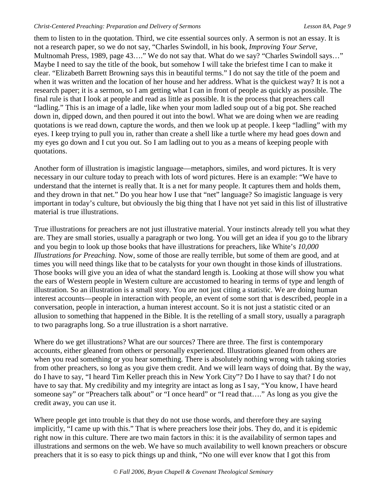them to listen to in the quotation. Third, we cite essential sources only. A sermon is not an essay. It is not a research paper, so we do not say, "Charles Swindoll, in his book, *Improving Your Serve,*  Multnomah Press, 1989, page 43…." We do not say that. What do we say? "Charles Swindoll says…" Maybe I need to say the title of the book, but somehow I will take the briefest time I can to make it clear. "Elizabeth Barrett Browning says this in beautiful terms." I do not say the title of the poem and when it was written and the location of her house and her address. What is the quickest way? It is not a research paper; it is a sermon, so I am getting what I can in front of people as quickly as possible. The final rule is that I look at people and read as little as possible. It is the process that preachers call "ladling." This is an image of a ladle, like when your mom ladled soup out of a big pot. She reached down in, dipped down, and then poured it out into the bowl. What we are doing when we are reading quotations is we read down, capture the words, and then we look up at people. I keep "ladling" with my eyes. I keep trying to pull you in, rather than create a shell like a turtle where my head goes down and my eyes go down and I cut you out. So I am ladling out to you as a means of keeping people with quotations.

Another form of illustration is imagistic language—metaphors, similes, and word pictures. It is very necessary in our culture today to preach with lots of word pictures. Here is an example: "We have to understand that the internet is really that. It is a net for many people. It captures them and holds them, and they drown in that net." Do you hear how I use that "net" language? So imagistic language is very important in today's culture, but obviously the big thing that I have not yet said in this list of illustrative material is true illustrations.

True illustrations for preachers are not just illustrative material. Your instincts already tell you what they are. They are small stories, usually a paragraph or two long. You will get an idea if you go to the library and you begin to look up those books that have illustrations for preachers, like White's *10,000 Illustrations for Preaching.* Now, some of those are really terrible, but some of them are good, and at times you will need things like that to be catalysts for your own thought in those kinds of illustrations. Those books will give you an idea of what the standard length is. Looking at those will show you what the ears of Western people in Western culture are accustomed to hearing in terms of type and length of illustration. So an illustration is a small story. You are not just citing a statistic. We are doing human interest accounts—people in interaction with people, an event of some sort that is described, people in a conversation, people in interaction, a human interest account. So it is not just a statistic cited or an allusion to something that happened in the Bible. It is the retelling of a small story, usually a paragraph to two paragraphs long. So a true illustration is a short narrative.

Where do we get illustrations? What are our sources? There are three. The first is contemporary accounts, either gleaned from others or personally experienced. Illustrations gleaned from others are when you read something or you hear something. There is absolutely nothing wrong with taking stories from other preachers, so long as you give them credit. And we will learn ways of doing that. By the way, do I have to say, "I heard Tim Keller preach this in New York City"? Do I have to say that? I do not have to say that. My credibility and my integrity are intact as long as I say, "You know, I have heard someone say" or "Preachers talk about" or "I once heard" or "I read that...." As long as you give the credit away, you can use it.

Where people get into trouble is that they do not use those words, and therefore they are saying implicitly, "I came up with this." That is where preachers lose their jobs. They do, and it is epidemic right now in this culture. There are two main factors in this: it is the availability of sermon tapes and illustrations and sermons on the web. We have so much availability to well known preachers or obscure preachers that it is so easy to pick things up and think, "No one will ever know that I got this from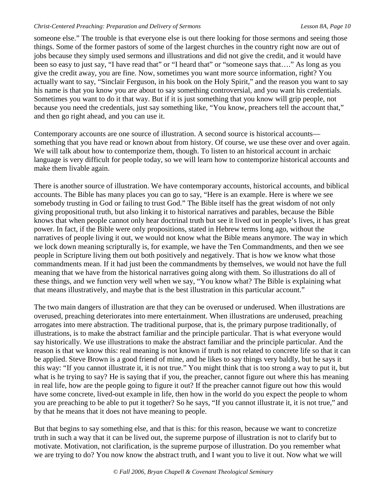someone else." The trouble is that everyone else is out there looking for those sermons and seeing those things. Some of the former pastors of some of the largest churches in the country right now are out of jobs because they simply used sermons and illustrations and did not give the credit, and it would have been so easy to just say, "I have read that" or "I heard that" or "someone says that...." As long as you give the credit away, you are fine. Now, sometimes you want more source information, right? You actually want to say, "Sinclair Ferguson, in his book on the Holy Spirit," and the reason you want to say his name is that you know you are about to say something controversial, and you want his credentials. Sometimes you want to do it that way. But if it is just something that you know will grip people, not because you need the credentials, just say something like, "You know, preachers tell the account that," and then go right ahead, and you can use it.

Contemporary accounts are one source of illustration. A second source is historical accounts something that you have read or known about from history. Of course, we use these over and over again. We will talk about how to contemporize them, though. To listen to an historical account in archaic language is very difficult for people today, so we will learn how to contemporize historical accounts and make them livable again.

There is another source of illustration. We have contemporary accounts, historical accounts, and biblical accounts. The Bible has many places you can go to say, "Here is an example. Here is where we see somebody trusting in God or failing to trust God." The Bible itself has the great wisdom of not only giving propositional truth, but also linking it to historical narratives and parables, because the Bible knows that when people cannot only hear doctrinal truth but see it lived out in people's lives, it has great power. In fact, if the Bible were only propositions, stated in Hebrew terms long ago, without the narratives of people living it out, we would not know what the Bible means anymore. The way in which we lock down meaning scripturally is, for example, we have the Ten Commandments, and then we see people in Scripture living them out both positively and negatively. That is how we know what those commandments mean. If it had just been the commandments by themselves, we would not have the full meaning that we have from the historical narratives going along with them. So illustrations do all of these things, and we function very well when we say, "You know what? The Bible is explaining what that means illustratively, and maybe that is the best illustration in this particular account."

The two main dangers of illustration are that they can be overused or underused. When illustrations are overused, preaching deteriorates into mere entertainment. When illustrations are underused, preaching arrogates into mere abstraction. The traditional purpose, that is, the primary purpose traditionally, of illustrations, is to make the abstract familiar and the principle particular. That is what everyone would say historically. We use illustrations to make the abstract familiar and the principle particular. And the reason is that we know this: real meaning is not known if truth is not related to concrete life so that it can be applied. Steve Brown is a good friend of mine, and he likes to say things very baldly, but he says it this way: "If you cannot illustrate it, it is not true." You might think that is too strong a way to put it, but what is he trying to say? He is saying that if you, the preacher, cannot figure out where this has meaning in real life, how are the people going to figure it out? If the preacher cannot figure out how this would have some concrete, lived-out example in life, then how in the world do you expect the people to whom you are preaching to be able to put it together? So he says, "If you cannot illustrate it, it is not true," and by that he means that it does not have meaning to people.

But that begins to say something else, and that is this: for this reason, because we want to concretize truth in such a way that it can be lived out, the supreme purpose of illustration is not to clarify but to motivate. Motivation, not clarification, is the supreme purpose of illustration. Do you remember what we are trying to do? You now know the abstract truth, and I want you to live it out. Now what we will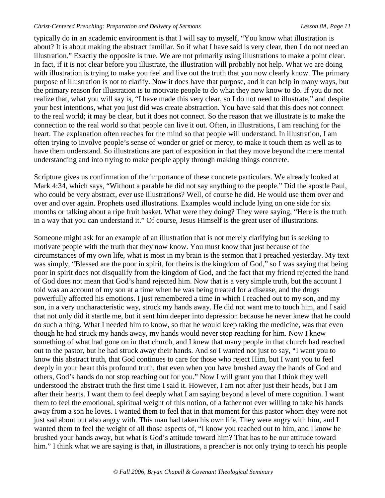typically do in an academic environment is that I will say to myself, "You know what illustration is about? It is about making the abstract familiar. So if what I have said is very clear, then I do not need an illustration." Exactly the opposite is true. We are not primarily using illustrations to make a point clear. In fact, if it is not clear before you illustrate, the illustration will probably not help. What we are doing with illustration is trying to make you feel and live out the truth that you now clearly know. The primary purpose of illustration is not to clarify. Now it does have that purpose, and it can help in many ways, but the primary reason for illustration is to motivate people to do what they now know to do. If you do not realize that, what you will say is, "I have made this very clear, so I do not need to illustrate," and despite your best intentions, what you just did was create abstraction. You have said that this does not connect to the real world; it may be clear, but it does not connect. So the reason that we illustrate is to make the connection to the real world so that people can live it out. Often, in illustrations, I am reaching for the heart. The explanation often reaches for the mind so that people will understand. In illustration, I am often trying to involve people's sense of wonder or grief or mercy, to make it touch them as well as to have them understand. So illustrations are part of exposition in that they move beyond the mere mental understanding and into trying to make people apply through making things concrete.

Scripture gives us confirmation of the importance of these concrete particulars. We already looked at Mark 4:34, which says, "Without a parable he did not say anything to the people." Did the apostle Paul, who could be very abstract, ever use illustrations? Well, of course he did. He would use them over and over and over again. Prophets used illustrations. Examples would include lying on one side for six months or talking about a ripe fruit basket. What were they doing? They were saying, "Here is the truth in a way that you can understand it." Of course, Jesus Himself is the great user of illustrations.

Someone might ask for an example of an illustration that is not merely clarifying but is seeking to motivate people with the truth that they now know. You must know that just because of the circumstances of my own life, what is most in my brain is the sermon that I preached yesterday. My text was simply, "Blessed are the poor in spirit, for theirs is the kingdom of God," so I was saying that being poor in spirit does not disqualify from the kingdom of God, and the fact that my friend rejected the hand of God does not mean that God's hand rejected him. Now that is a very simple truth, but the account I told was an account of my son at a time when he was being treated for a disease, and the drugs powerfully affected his emotions. I just remembered a time in which I reached out to my son, and my son, in a very uncharacteristic way, struck my hands away. He did not want me to touch him, and I said that not only did it startle me, but it sent him deeper into depression because he never knew that he could do such a thing. What I needed him to know, so that he would keep taking the medicine, was that even though he had struck my hands away, my hands would never stop reaching for him. Now I knew something of what had gone on in that church, and I knew that many people in that church had reached out to the pastor, but he had struck away their hands. And so I wanted not just to say, "I want you to know this abstract truth, that God continues to care for those who reject Him, but I want you to feel deeply in your heart this profound truth, that even when you have brushed away the hands of God and others, God's hands do not stop reaching out for you." Now I will grant you that I think they well understood the abstract truth the first time I said it. However, I am not after just their heads, but I am after their hearts. I want them to feel deeply what I am saying beyond a level of mere cognition. I want them to feel the emotional, spiritual weight of this notion, of a father not ever willing to take his hands away from a son he loves. I wanted them to feel that in that moment for this pastor whom they were not just sad about but also angry with. This man had taken his own life. They were angry with him, and I wanted them to feel the weight of all those aspects of, "I know you reached out to him, and I know he brushed your hands away, but what is God's attitude toward him? That has to be our attitude toward him." I think what we are saying is that, in illustrations, a preacher is not only trying to teach his people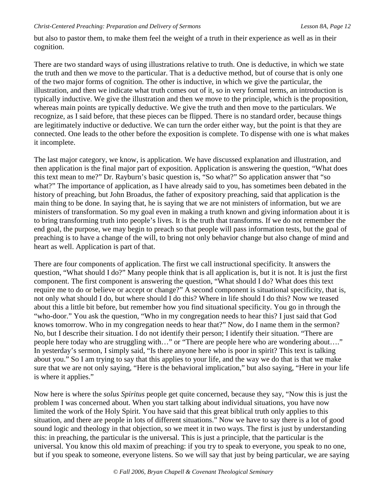but also to pastor them, to make them feel the weight of a truth in their experience as well as in their cognition.

There are two standard ways of using illustrations relative to truth. One is deductive, in which we state the truth and then we move to the particular. That is a deductive method, but of course that is only one of the two major forms of cognition. The other is inductive, in which we give the particular, the illustration, and then we indicate what truth comes out of it, so in very formal terms, an introduction is typically inductive. We give the illustration and then we move to the principle, which is the proposition, whereas main points are typically deductive. We give the truth and then move to the particulars. We recognize, as I said before, that these pieces can be flipped. There is no standard order, because things are legitimately inductive or deductive. We can turn the order either way, but the point is that they are connected. One leads to the other before the exposition is complete. To dispense with one is what makes it incomplete.

The last major category, we know, is application. We have discussed explanation and illustration, and then application is the final major part of exposition. Application is answering the question, "What does this text mean to me?" Dr. Rayburn's basic question is, "So what?" So application answer that "so what?" The importance of application, as I have already said to you, has sometimes been debated in the history of preaching, but John Broadus, the father of expository preaching, said that application is the main thing to be done. In saying that, he is saying that we are not ministers of information, but we are ministers of transformation. So my goal even in making a truth known and giving information about it is to bring transforming truth into people's lives. It is the truth that transforms. If we do not remember the end goal, the purpose, we may begin to preach so that people will pass information tests, but the goal of preaching is to have a change of the will, to bring not only behavior change but also change of mind and heart as well. Application is part of that.

There are four components of application. The first we call instructional specificity. It answers the question, "What should I do?" Many people think that is all application is, but it is not. It is just the first component. The first component is answering the question, "What should I do? What does this text require me to do or believe or accept or change?" A second component is situational specificity, that is, not only what should I do, but where should I do this? Where in life should I do this? Now we teased about this a little bit before, but remember how you find situational specificity. You go in through the "who-door." You ask the question, "Who in my congregation needs to hear this? I just said that God knows tomorrow. Who in my congregation needs to hear that?" Now, do I name them in the sermon? No, but I describe their situation. I do not identify their person; I identify their situation. "There are people here today who are struggling with…" or "There are people here who are wondering about…." In yesterday's sermon, I simply said, "Is there anyone here who is poor in spirit? This text is talking about you." So I am trying to say that this applies to your life, and the way we do that is that we make sure that we are not only saying, "Here is the behavioral implication," but also saying, "Here in your life is where it applies."

Now here is where the *solus Spiritus* people get quite concerned, because they say, "Now this is just the problem I was concerned about. When you start talking about individual situations, you have now limited the work of the Holy Spirit. You have said that this great biblical truth only applies to this situation, and there are people in lots of different situations." Now we have to say there is a lot of good sound logic and theology in that objection, so we meet it in two ways. The first is just by understanding this: in preaching, the particular is the universal. This is just a principle, that the particular is the universal. You know this old maxim of preaching: if you try to speak to everyone, you speak to no one, but if you speak to someone, everyone listens. So we will say that just by being particular, we are saying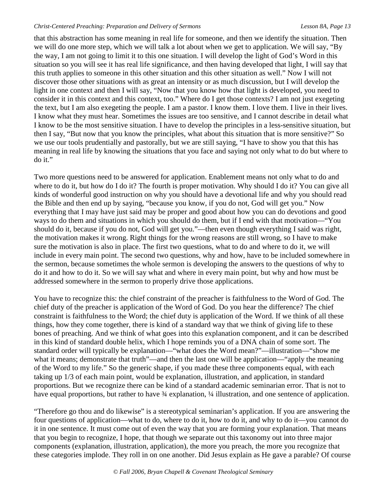that this abstraction has some meaning in real life for someone, and then we identify the situation. Then we will do one more step, which we will talk a lot about when we get to application. We will say, "By the way, I am not going to limit it to this one situation. I will develop the light of God's Word in this situation so you will see it has real life significance, and then having developed that light, I will say that this truth applies to someone in this other situation and this other situation as well." Now I will not discover those other situations with as great an intensity or as much discussion, but I will develop the light in one context and then I will say, "Now that you know how that light is developed, you need to consider it in this context and this context, too." Where do I get those contexts? I am not just exegeting the text, but I am also exegeting the people. I am a pastor. I know them. I love them. I live in their lives. I know what they must hear. Sometimes the issues are too sensitive, and I cannot describe in detail what I know to be the most sensitive situation. I have to develop the principles in a less-sensitive situation, but then I say, "But now that you know the principles, what about this situation that is more sensitive?" So we use our tools prudentially and pastorally, but we are still saying, "I have to show you that this has meaning in real life by knowing the situations that you face and saying not only what to do but where to do it."

Two more questions need to be answered for application. Enablement means not only what to do and where to do it, but how do I do it? The fourth is proper motivation. Why should I do it? You can give all kinds of wonderful good instruction on why you should have a devotional life and why you should read the Bible and then end up by saying, "because you know, if you do not, God will get you." Now everything that I may have just said may be proper and good about how you can do devotions and good ways to do them and situations in which you should do them, but if I end with that motivation—"You should do it, because if you do not, God will get you."—then even though everything I said was right, the motivation makes it wrong. Right things for the wrong reasons are still wrong, so I have to make sure the motivation is also in place. The first two questions, what to do and where to do it, we will include in every main point. The second two questions, why and how, have to be included somewhere in the sermon, because sometimes the whole sermon is developing the answers to the questions of why to do it and how to do it. So we will say what and where in every main point, but why and how must be addressed somewhere in the sermon to properly drive those applications.

You have to recognize this: the chief constraint of the preacher is faithfulness to the Word of God. The chief duty of the preacher is application of the Word of God. Do you hear the difference? The chief constraint is faithfulness to the Word; the chief duty is application of the Word. If we think of all these things, how they come together, there is kind of a standard way that we think of giving life to these bones of preaching. And we think of what goes into this explanation component, and it can be described in this kind of standard double helix, which I hope reminds you of a DNA chain of some sort. The standard order will typically be explanation—"what does the Word mean?"—illustration—"show me what it means; demonstrate that truth"—and then the last one will be application—"apply the meaning of the Word to my life." So the generic shape, if you made these three components equal, with each taking up 1/3 of each main point, would be explanation, illustration, and application, in standard proportions. But we recognize there can be kind of a standard academic seminarian error. That is not to have equal proportions, but rather to have  $\frac{3}{4}$  explanation,  $\frac{1}{4}$  illustration, and one sentence of application.

"Therefore go thou and do likewise" is a stereotypical seminarian's application. If you are answering the four questions of application—what to do, where to do it, how to do it, and why to do it—you cannot do it in one sentence. It must come out of even the way that you are forming your explanation. That means that you begin to recognize, I hope, that though we separate out this taxonomy out into three major components (explanation, illustration, application), the more you preach, the more you recognize that these categories implode. They roll in on one another. Did Jesus explain as He gave a parable? Of course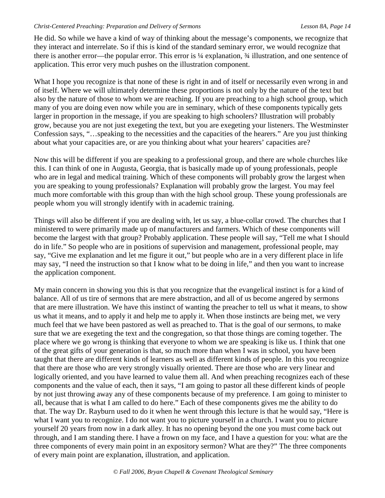He did. So while we have a kind of way of thinking about the message's components, we recognize that they interact and interrelate. So if this is kind of the standard seminary error, we would recognize that there is another error—the popular error. This error is ¼ explanation, ¾ illustration, and one sentence of application. This error very much pushes on the illustration component.

What I hope you recognize is that none of these is right in and of itself or necessarily even wrong in and of itself. Where we will ultimately determine these proportions is not only by the nature of the text but also by the nature of those to whom we are reaching. If you are preaching to a high school group, which many of you are doing even now while you are in seminary, which of these components typically gets larger in proportion in the message, if you are speaking to high schoolers? Illustration will probably grow, because you are not just exegeting the text, but you are exegeting your listeners. The Westminster Confession says, "…speaking to the necessities and the capacities of the hearers." Are you just thinking about what your capacities are, or are you thinking about what your hearers' capacities are?

Now this will be different if you are speaking to a professional group, and there are whole churches like this. I can think of one in Augusta, Georgia, that is basically made up of young professionals, people who are in legal and medical training. Which of these components will probably grow the largest when you are speaking to young professionals? Explanation will probably grow the largest. You may feel much more comfortable with this group than with the high school group. These young professionals are people whom you will strongly identify with in academic training.

Things will also be different if you are dealing with, let us say, a blue-collar crowd. The churches that I ministered to were primarily made up of manufacturers and farmers. Which of these components will become the largest with that group? Probably application. These people will say, "Tell me what I should do in life." So people who are in positions of supervision and management, professional people, may say, "Give me explanation and let me figure it out," but people who are in a very different place in life may say, "I need the instruction so that I know what to be doing in life," and then you want to increase the application component.

My main concern in showing you this is that you recognize that the evangelical instinct is for a kind of balance. All of us tire of sermons that are mere abstraction, and all of us become angered by sermons that are mere illustration. We have this instinct of wanting the preacher to tell us what it means, to show us what it means, and to apply it and help me to apply it. When those instincts are being met, we very much feel that we have been pastored as well as preached to. That is the goal of our sermons, to make sure that we are exegeting the text and the congregation, so that those things are coming together. The place where we go wrong is thinking that everyone to whom we are speaking is like us. I think that one of the great gifts of your generation is that, so much more than when I was in school, you have been taught that there are different kinds of learners as well as different kinds of people. In this you recognize that there are those who are very strongly visually oriented. There are those who are very linear and logically oriented, and you have learned to value them all. And when preaching recognizes each of these components and the value of each, then it says, "I am going to pastor all these different kinds of people by not just throwing away any of these components because of my preference. I am going to minister to all, because that is what I am called to do here." Each of these components gives me the ability to do that. The way Dr. Rayburn used to do it when he went through this lecture is that he would say, "Here is what I want you to recognize. I do not want you to picture yourself in a church. I want you to picture yourself 20 years from now in a dark alley. It has no opening beyond the one you must come back out through, and I am standing there. I have a frown on my face, and I have a question for you: what are the three components of every main point in an expository sermon? What are they?" The three components of every main point are explanation, illustration, and application.